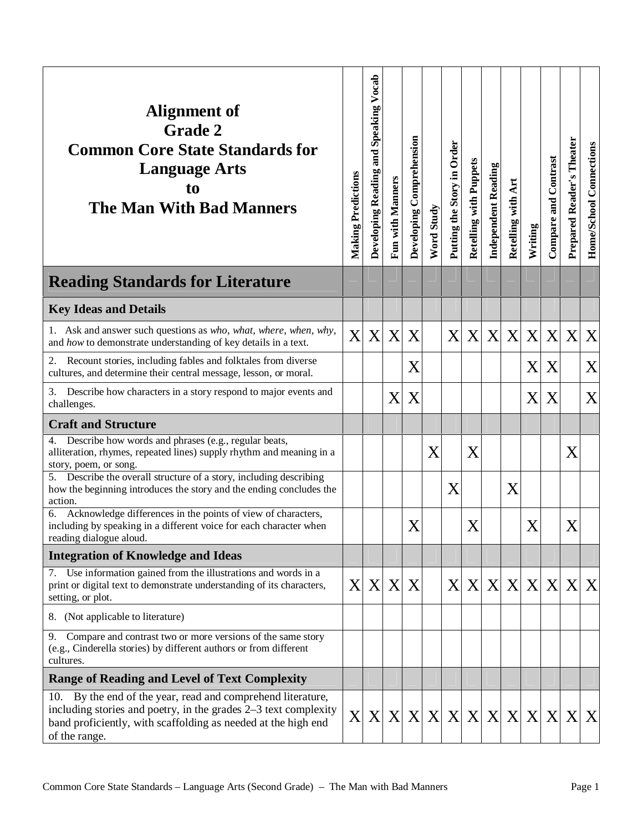| Alignment of<br><b>Grade 2</b><br><b>Common Core State Standards for</b><br><b>Language Arts</b><br>to<br><b>The Man With Bad Manners</b>                                                                        | <b>Making Predictions</b> | Developing Reading and Speaking Vocab | Fun with Manners | Developing Comprehension | Word Study | Putting the Story in Order | Retelling with Puppets    | <b>Independent Reading</b> | Art<br>Retelling with | Writing | Compare and Contrast | Prepared Reader's Theater | Home/School Connections |
|------------------------------------------------------------------------------------------------------------------------------------------------------------------------------------------------------------------|---------------------------|---------------------------------------|------------------|--------------------------|------------|----------------------------|---------------------------|----------------------------|-----------------------|---------|----------------------|---------------------------|-------------------------|
| <b>Reading Standards for Literature</b>                                                                                                                                                                          |                           |                                       |                  |                          |            |                            |                           |                            |                       |         |                      |                           |                         |
| <b>Key Ideas and Details</b>                                                                                                                                                                                     |                           |                                       |                  |                          |            |                            |                           |                            |                       |         |                      |                           |                         |
| 1. Ask and answer such questions as who, what, where, when, why,<br>and how to demonstrate understanding of key details in a text.                                                                               | X                         | X                                     | X                | X                        |            | X                          | X                         | X                          | X                     | X       | X                    | X                         | X                       |
| Recount stories, including fables and folktales from diverse<br>2.<br>cultures, and determine their central message, lesson, or moral.                                                                           |                           |                                       |                  | X                        |            |                            |                           |                            |                       | X       | X                    |                           | X                       |
| 3.<br>Describe how characters in a story respond to major events and<br>challenges.                                                                                                                              |                           |                                       | X                | X                        |            |                            |                           |                            |                       | X       | X                    |                           | X                       |
| <b>Craft and Structure</b>                                                                                                                                                                                       |                           |                                       |                  |                          |            |                            |                           |                            |                       |         |                      |                           |                         |
| Describe how words and phrases (e.g., regular beats,<br>4.<br>alliteration, rhymes, repeated lines) supply rhythm and meaning in a<br>story, poem, or song.                                                      |                           |                                       |                  |                          | X          |                            | X                         |                            |                       |         |                      | X                         |                         |
| Describe the overall structure of a story, including describing<br>5.<br>how the beginning introduces the story and the ending concludes the<br>action.                                                          |                           |                                       |                  |                          |            | X                          |                           |                            | X                     |         |                      |                           |                         |
| Acknowledge differences in the points of view of characters,<br>6.<br>including by speaking in a different voice for each character when<br>reading dialogue aloud.                                              |                           |                                       |                  | X                        |            |                            | $\boldsymbol{\mathrm{X}}$ |                            |                       | X       |                      | X                         |                         |
| <b>Integration of Knowledge and Ideas</b>                                                                                                                                                                        |                           |                                       |                  |                          |            |                            |                           |                            |                       |         |                      |                           |                         |
| 7. Use information gained from the illustrations and words in a<br>print or digital text to demonstrate understanding of its characters,<br>setting, or plot.                                                    | X                         | X                                     | $\mathbf{X}$     | X                        |            | X                          | X                         | X                          | X                     | X X     |                      | $\boldsymbol{X}$          | X                       |
| (Not applicable to literature)<br>8.                                                                                                                                                                             |                           |                                       |                  |                          |            |                            |                           |                            |                       |         |                      |                           |                         |
| 9. Compare and contrast two or more versions of the same story<br>(e.g., Cinderella stories) by different authors or from different<br>cultures.                                                                 |                           |                                       |                  |                          |            |                            |                           |                            |                       |         |                      |                           |                         |
| <b>Range of Reading and Level of Text Complexity</b>                                                                                                                                                             |                           |                                       |                  |                          |            |                            |                           |                            |                       |         |                      |                           |                         |
| 10. By the end of the year, read and comprehend literature,<br>including stories and poetry, in the grades 2–3 text complexity<br>band proficiently, with scaffolding as needed at the high end<br>of the range. |                           |                                       |                  |                          | X X X X X  |                            |                           |                            |                       |         | X X X X X X          | $\mathbf{X}$              | X                       |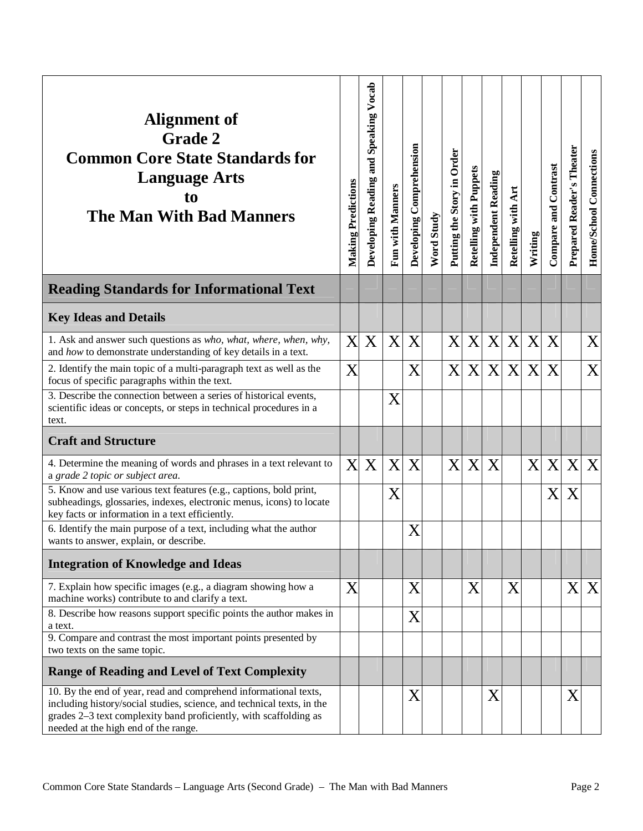| Alignment of<br><b>Grade 2</b><br><b>Common Core State Standards for</b><br><b>Language Arts</b><br>to<br><b>The Man With Bad Manners</b>                                                                                                               | <b>Making Predictions</b> | Developing Reading and Speaking Vocab | Fun with Manners | Developing Comprehension | Word Study | Putting the Story in Order | Retelling with Puppets | <b>Independent Reading</b> | Art<br>Retelling with |         | <b>Compare and Contrast</b> | Prepared Reader's Theater | Home/School Connections |
|---------------------------------------------------------------------------------------------------------------------------------------------------------------------------------------------------------------------------------------------------------|---------------------------|---------------------------------------|------------------|--------------------------|------------|----------------------------|------------------------|----------------------------|-----------------------|---------|-----------------------------|---------------------------|-------------------------|
|                                                                                                                                                                                                                                                         |                           |                                       |                  |                          |            |                            |                        |                            |                       | Writing |                             |                           |                         |
| <b>Reading Standards for Informational Text</b>                                                                                                                                                                                                         |                           |                                       |                  |                          |            |                            |                        |                            |                       |         |                             |                           |                         |
| <b>Key Ideas and Details</b>                                                                                                                                                                                                                            |                           |                                       |                  |                          |            |                            |                        |                            |                       |         |                             |                           |                         |
| 1. Ask and answer such questions as who, what, where, when, why,<br>and how to demonstrate understanding of key details in a text.                                                                                                                      | X                         | X                                     | X                | X                        |            | X                          | X                      | X                          | X                     | X       | X                           |                           | X                       |
| 2. Identify the main topic of a multi-paragraph text as well as the<br>focus of specific paragraphs within the text.                                                                                                                                    | X                         |                                       |                  | X                        |            | X                          | X                      | X                          | $\mathbf{X}$          | X       | X                           |                           | X                       |
| 3. Describe the connection between a series of historical events,<br>scientific ideas or concepts, or steps in technical procedures in a<br>text.                                                                                                       |                           |                                       | X                |                          |            |                            |                        |                            |                       |         |                             |                           |                         |
| <b>Craft and Structure</b>                                                                                                                                                                                                                              |                           |                                       |                  |                          |            |                            |                        |                            |                       |         |                             |                           |                         |
| 4. Determine the meaning of words and phrases in a text relevant to<br>a grade 2 topic or subject area.                                                                                                                                                 | X                         | X                                     | X                | X                        |            | X                          | X                      | X                          |                       | X       | X                           | X                         | X                       |
| 5. Know and use various text features (e.g., captions, bold print,<br>subheadings, glossaries, indexes, electronic menus, icons) to locate<br>key facts or information in a text efficiently.                                                           |                           |                                       | X                |                          |            |                            |                        |                            |                       |         | X                           | Χ                         |                         |
| 6. Identify the main purpose of a text, including what the author<br>wants to answer, explain, or describe.                                                                                                                                             |                           |                                       |                  | $\rm X$                  |            |                            |                        |                            |                       |         |                             |                           |                         |
| <b>Integration of Knowledge and Ideas</b>                                                                                                                                                                                                               |                           |                                       |                  |                          |            |                            |                        |                            |                       |         |                             |                           |                         |
| 7. Explain how specific images (e.g., a diagram showing how a<br>machine works) contribute to and clarify a text.                                                                                                                                       | X                         |                                       |                  | X                        |            |                            | X                      |                            | X                     |         |                             | X                         | X                       |
| 8. Describe how reasons support specific points the author makes in<br>a text.                                                                                                                                                                          |                           |                                       |                  | X                        |            |                            |                        |                            |                       |         |                             |                           |                         |
| 9. Compare and contrast the most important points presented by<br>two texts on the same topic.                                                                                                                                                          |                           |                                       |                  |                          |            |                            |                        |                            |                       |         |                             |                           |                         |
| <b>Range of Reading and Level of Text Complexity</b>                                                                                                                                                                                                    |                           |                                       |                  |                          |            |                            |                        |                            |                       |         |                             |                           |                         |
| 10. By the end of year, read and comprehend informational texts,<br>including history/social studies, science, and technical texts, in the<br>grades 2-3 text complexity band proficiently, with scaffolding as<br>needed at the high end of the range. |                           |                                       |                  | X                        |            |                            |                        | X                          |                       |         |                             | X                         |                         |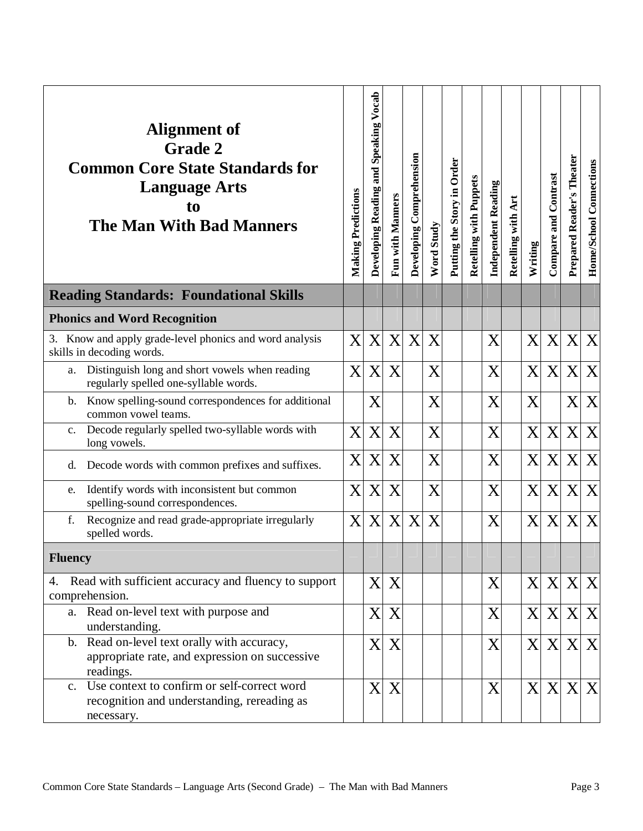| Alignment of<br><b>Grade 2</b><br><b>Common Core State Standards for</b><br><b>Language Arts</b><br>to<br><b>The Man With Bad Manners</b> | <b>Making Predictions</b> | Developing Reading and Speaking Vocab | Fun with Manners | Developing Comprehension | Word Study | Putting the Story in Order | Retelling with Puppets | <b>Independent Reading</b> | Retelling with Art | Writing | <b>Compare and Contrast</b> | Prepared Reader's Theater | Home/School Connections |
|-------------------------------------------------------------------------------------------------------------------------------------------|---------------------------|---------------------------------------|------------------|--------------------------|------------|----------------------------|------------------------|----------------------------|--------------------|---------|-----------------------------|---------------------------|-------------------------|
| <b>Reading Standards: Foundational Skills</b>                                                                                             |                           |                                       |                  |                          |            |                            |                        |                            |                    |         |                             |                           |                         |
| <b>Phonics and Word Recognition</b>                                                                                                       |                           |                                       |                  |                          |            |                            |                        |                            |                    |         |                             |                           |                         |
| 3. Know and apply grade-level phonics and word analysis<br>skills in decoding words.                                                      | $\overline{\mathrm{X}}$   | X                                     | X                | X                        | X          |                            |                        | X                          |                    | X       | X                           | X                         | X                       |
| Distinguish long and short vowels when reading<br>a.<br>regularly spelled one-syllable words.                                             | X                         | X                                     | X                |                          | X          |                            |                        | $\overline{X}$             |                    | X       | X                           | X                         | X                       |
| Know spelling-sound correspondences for additional<br>b.<br>common vowel teams.                                                           |                           | X                                     |                  |                          | X          |                            |                        | X                          |                    | X       |                             | X                         | X                       |
| Decode regularly spelled two-syllable words with<br>c.<br>long vowels.                                                                    | X                         | X                                     | X                |                          | X          |                            |                        | $\overline{X}$             |                    | X       | X                           | X                         | X                       |
| Decode words with common prefixes and suffixes.<br>d.                                                                                     | X                         | X                                     | X                |                          | X          |                            |                        | X                          |                    | X       | X                           | X                         | X                       |
| Identify words with inconsistent but common<br>e.<br>spelling-sound correspondences.                                                      | $\rm\overline{X}$         | X                                     | X                |                          | X          |                            |                        | $\overline{X}$             |                    | X       | X                           | X                         | X                       |
| Recognize and read grade-appropriate irregularly<br>f.<br>spelled words.                                                                  | $\rm\overline{X}$         | X                                     | X                | X                        | X          |                            |                        | X                          |                    | X       | X                           | X                         | X                       |
| <b>Fluency</b>                                                                                                                            |                           |                                       |                  |                          |            |                            |                        |                            |                    |         |                             |                           |                         |
| Read with sufficient accuracy and fluency to support<br>4.<br>comprehension.                                                              |                           | X                                     | X                |                          |            |                            |                        | X                          |                    |         |                             | X X X X                   |                         |
| a. Read on-level text with purpose and<br>understanding.                                                                                  |                           | X                                     | X                |                          |            |                            |                        | X                          |                    | X       | X                           | $\mathbf{X}$              | X                       |
| b. Read on-level text orally with accuracy,<br>appropriate rate, and expression on successive<br>readings.                                |                           | X                                     | X                |                          |            |                            |                        | X                          |                    |         | X X                         | $\mathbf{X}$              | X                       |
| Use context to confirm or self-correct word<br>$c_{\cdot}$<br>recognition and understanding, rereading as<br>necessary.                   |                           | X                                     | X                |                          |            |                            |                        | X                          |                    | X       | X                           | X                         | X                       |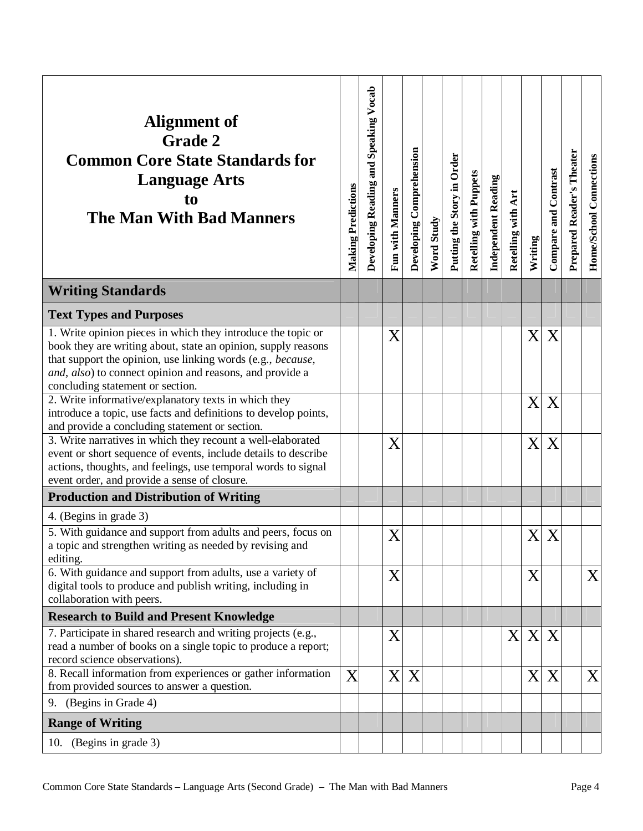| Alignment of<br><b>Grade 2</b><br><b>Common Core State Standards for</b><br><b>Language Arts</b><br>t <sub>0</sub><br><b>The Man With Bad Manners</b>                                                                                                                                        | <b>Making Predictions</b> | Developing Reading and Speaking Vocab | <b>Fun with Manners</b> | Developing Comprehension | Word Study | Putting the Story in Order | Retelling with Puppets | <b>Independent Reading</b> | Retelling with Art        | Writing | Compare and Contrast | Prepared Reader's Theater | Home/School Connections |
|----------------------------------------------------------------------------------------------------------------------------------------------------------------------------------------------------------------------------------------------------------------------------------------------|---------------------------|---------------------------------------|-------------------------|--------------------------|------------|----------------------------|------------------------|----------------------------|---------------------------|---------|----------------------|---------------------------|-------------------------|
| <b>Writing Standards</b>                                                                                                                                                                                                                                                                     |                           |                                       |                         |                          |            |                            |                        |                            |                           |         |                      |                           |                         |
| <b>Text Types and Purposes</b>                                                                                                                                                                                                                                                               |                           |                                       |                         |                          |            |                            |                        |                            |                           |         |                      |                           |                         |
| 1. Write opinion pieces in which they introduce the topic or<br>book they are writing about, state an opinion, supply reasons<br>that support the opinion, use linking words (e.g., because,<br>and, also) to connect opinion and reasons, and provide a<br>concluding statement or section. |                           |                                       | X                       |                          |            |                            |                        |                            |                           | X       | X                    |                           |                         |
| 2. Write informative/explanatory texts in which they<br>introduce a topic, use facts and definitions to develop points,<br>and provide a concluding statement or section.                                                                                                                    |                           |                                       |                         |                          |            |                            |                        |                            |                           | X       | X                    |                           |                         |
| 3. Write narratives in which they recount a well-elaborated<br>event or short sequence of events, include details to describe<br>actions, thoughts, and feelings, use temporal words to signal<br>event order, and provide a sense of closure.                                               |                           |                                       | X                       |                          |            |                            |                        |                            |                           | X       | X                    |                           |                         |
| <b>Production and Distribution of Writing</b>                                                                                                                                                                                                                                                |                           |                                       |                         |                          |            |                            |                        |                            |                           |         |                      |                           |                         |
| 4. (Begins in grade 3)                                                                                                                                                                                                                                                                       |                           |                                       |                         |                          |            |                            |                        |                            |                           |         |                      |                           |                         |
| 5. With guidance and support from adults and peers, focus on<br>a topic and strengthen writing as needed by revising and<br>editing.                                                                                                                                                         |                           |                                       | X                       |                          |            |                            |                        |                            |                           | X       | X                    |                           |                         |
| 6. With guidance and support from adults, use a variety of<br>digital tools to produce and publish writing, including in<br>collaboration with peers.                                                                                                                                        |                           |                                       | X                       |                          |            |                            |                        |                            |                           | X       |                      |                           | X                       |
| <b>Research to Build and Present Knowledge</b>                                                                                                                                                                                                                                               |                           |                                       |                         |                          |            |                            |                        |                            |                           |         |                      |                           |                         |
| 7. Participate in shared research and writing projects (e.g.,<br>read a number of books on a single topic to produce a report;<br>record science observations).                                                                                                                              |                           |                                       | X                       |                          |            |                            |                        |                            | $\boldsymbol{\mathrm{X}}$ | X       | X                    |                           |                         |
| 8. Recall information from experiences or gather information<br>from provided sources to answer a question.<br>9. (Begins in Grade 4)                                                                                                                                                        | X                         |                                       | X                       | X                        |            |                            |                        |                            |                           | X       | X                    |                           | X                       |
|                                                                                                                                                                                                                                                                                              |                           |                                       |                         |                          |            |                            |                        |                            |                           |         |                      |                           |                         |
| <b>Range of Writing</b><br>10. (Begins in grade 3)                                                                                                                                                                                                                                           |                           |                                       |                         |                          |            |                            |                        |                            |                           |         |                      |                           |                         |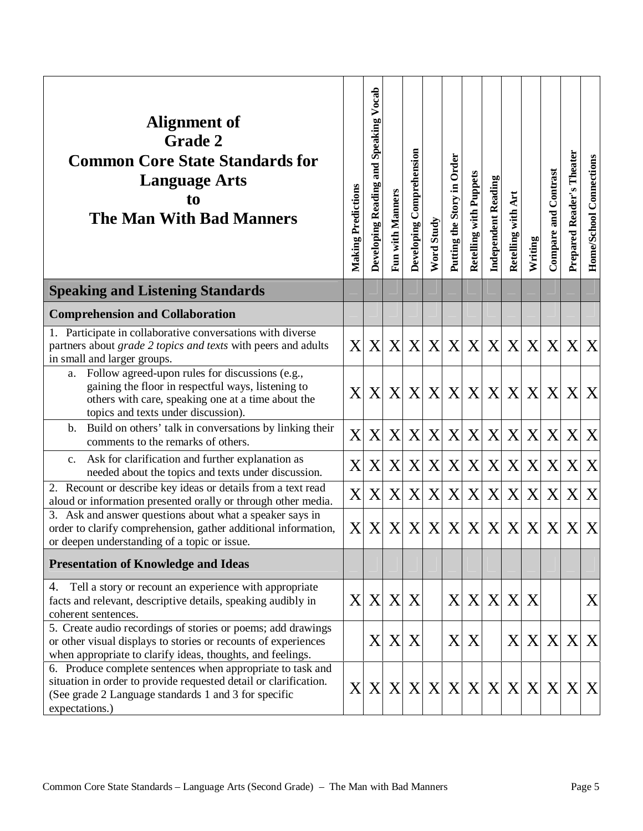| Alignment of<br><b>Grade 2</b><br><b>Common Core State Standards for</b><br><b>Language Arts</b><br>to<br><b>The Man With Bad Manners</b>                                                                | <b>Making Predictions</b> | Developing Reading and Speaking Vocab | Fun with Manners | Developing Comprehension | Word Study | Putting the Story in Order | Retelling with Puppets | Independent Reading | Art<br>Retelling with | Writing      | <b>Compare and Contrast</b> | Prepared Reader's Theater | Home/School Connections |
|----------------------------------------------------------------------------------------------------------------------------------------------------------------------------------------------------------|---------------------------|---------------------------------------|------------------|--------------------------|------------|----------------------------|------------------------|---------------------|-----------------------|--------------|-----------------------------|---------------------------|-------------------------|
| <b>Speaking and Listening Standards</b>                                                                                                                                                                  |                           |                                       |                  |                          |            |                            |                        |                     |                       |              |                             |                           |                         |
| <b>Comprehension and Collaboration</b>                                                                                                                                                                   |                           |                                       |                  |                          |            |                            |                        |                     |                       |              |                             |                           |                         |
| 1. Participate in collaborative conversations with diverse<br>partners about grade 2 topics and texts with peers and adults<br>in small and larger groups.                                               | X                         | X                                     | X                | X                        | X          | X                          | X                      | X                   | X                     | X            | X                           | X                         | X                       |
| Follow agreed-upon rules for discussions (e.g.,<br>a.<br>gaining the floor in respectful ways, listening to<br>others with care, speaking one at a time about the<br>topics and texts under discussion). | $\mathbf{X}$              | X                                     | X                |                          | X X        | X                          |                        | X X                 | X                     | $\mathbf{X}$ | X                           | X                         | X                       |
| Build on others' talk in conversations by linking their<br>b.<br>comments to the remarks of others.                                                                                                      | X                         | X                                     | X                | X                        | X          | X                          | X                      | X                   | X                     | X            | X                           | X                         | X                       |
| Ask for clarification and further explanation as<br>c.<br>needed about the topics and texts under discussion.                                                                                            | X                         | X                                     | X                | X                        | X          | X                          | X                      | X                   | X                     | X            | X                           | X                         | X                       |
| 2. Recount or describe key ideas or details from a text read<br>aloud or information presented orally or through other media.                                                                            | X                         | X                                     | X                | X                        | X          | X                          | X                      | X                   | X                     | X            | X                           | X                         | X                       |
| 3. Ask and answer questions about what a speaker says in<br>order to clarify comprehension, gather additional information,<br>or deepen understanding of a topic or issue.                               | $\boldsymbol{\mathrm{X}}$ | X                                     | X                | X                        | X          | X                          | X                      | X                   | X                     | X            | X                           | X                         | X                       |
| <b>Presentation of Knowledge and Ideas</b>                                                                                                                                                               |                           |                                       |                  |                          |            |                            |                        |                     |                       |              |                             |                           |                         |
| Tell a story or recount an experience with appropriate<br>4.<br>facts and relevant, descriptive details, speaking audibly in<br>coherent sentences.                                                      |                           | X X X                                 |                  | X                        |            |                            | X X X                  |                     | X                     | X            |                             |                           | X                       |
| 5. Create audio recordings of stories or poems; add drawings<br>or other visual displays to stories or recounts of experiences<br>when appropriate to clarify ideas, thoughts, and feelings.             |                           | X                                     | X                | X                        |            | X                          | X                      |                     | X                     | X            | X                           | X                         | X                       |
| 6. Produce complete sentences when appropriate to task and<br>situation in order to provide requested detail or clarification.<br>(See grade 2 Language standards 1 and 3 for specific<br>expectations.) |                           | X X X                                 |                  |                          | X X        | X                          | X                      | X                   | X                     |              | X X                         | X                         | X                       |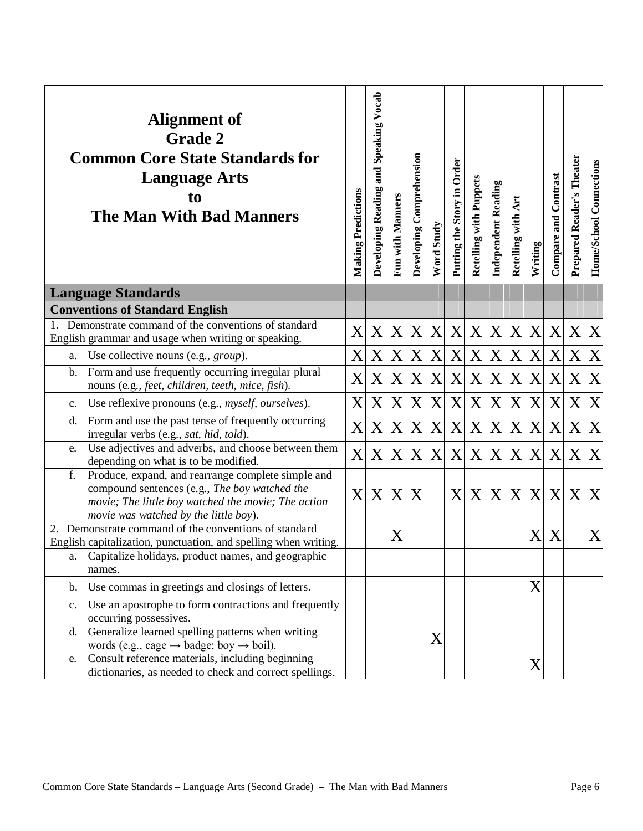|                | <b>Alignment of</b><br><b>Grade 2</b><br><b>Common Core State Standards for</b><br><b>Language Arts</b><br>to<br><b>The Man With Bad Manners</b>                                                    | Making Predictions | Developing Reading and Speaking Vocab | Fun with Manners | Developing Comprehension | Word Study | Putting the Story in Order | Retelling with Puppets | <b>Independent Reading</b> | Retelling with Art | Writing | <b>Compare and Contrast</b> | Prepared Reader's Theater | Home/School Connections |
|----------------|-----------------------------------------------------------------------------------------------------------------------------------------------------------------------------------------------------|--------------------|---------------------------------------|------------------|--------------------------|------------|----------------------------|------------------------|----------------------------|--------------------|---------|-----------------------------|---------------------------|-------------------------|
|                | <b>Language Standards</b>                                                                                                                                                                           |                    |                                       |                  |                          |            |                            |                        |                            |                    |         |                             |                           |                         |
|                | <b>Conventions of Standard English</b>                                                                                                                                                              |                    |                                       |                  |                          |            |                            |                        |                            |                    |         |                             |                           |                         |
| $1_{\cdot}$    | Demonstrate command of the conventions of standard<br>English grammar and usage when writing or speaking.                                                                                           | X                  | X                                     | X                | X                        | X          | X                          | X                      | X                          | X                  | X       | X                           | X                         | X                       |
| a.             | Use collective nouns (e.g., <i>group</i> ).                                                                                                                                                         | X                  | X                                     | X                | X                        | X          | X                          | $\mathbf X$            | X                          | X                  | X       | X                           | X                         | X                       |
| $\mathbf{b}$ . | Form and use frequently occurring irregular plural<br>nouns (e.g., feet, children, teeth, mice, fish).                                                                                              | X                  | X                                     | X                | X                        | X          | X                          | X                      | X                          | X                  | X       | X                           | Χ                         | X                       |
| $\mathbf{c}$ . | Use reflexive pronouns (e.g., <i>myself, ourselves</i> ).                                                                                                                                           | X                  | X                                     | X                | X                        | X          | X                          | X                      | X                          | X                  | X       | X                           | Χ                         | X                       |
| d.             | Form and use the past tense of frequently occurring<br>irregular verbs (e.g., sat, hid, told).                                                                                                      | X                  | X                                     | X                | X                        | X          | X                          | X                      | X                          | X                  | X       | X                           | X                         | X                       |
| e.             | Use adjectives and adverbs, and choose between them<br>depending on what is to be modified.                                                                                                         | $\mathbf{X}$       | X                                     | X                | X                        | X          | X                          | X                      | X                          | X                  | X       | X                           | Χ                         | X                       |
| f.             | Produce, expand, and rearrange complete simple and<br>compound sentences (e.g., The boy watched the<br>movie; The little boy watched the movie; The action<br>movie was watched by the little boy). | X                  | X                                     | X                | X                        |            | X                          | X                      | X                          | X                  | X       | X                           | X                         | X                       |
|                | 2. Demonstrate command of the conventions of standard                                                                                                                                               |                    |                                       | X                |                          |            |                            |                        |                            |                    | X       | X                           |                           | X                       |
|                | English capitalization, punctuation, and spelling when writing.                                                                                                                                     |                    |                                       |                  |                          |            |                            |                        |                            |                    |         |                             |                           |                         |
| a.             | Capitalize holidays, product names, and geographic<br>names.                                                                                                                                        |                    |                                       |                  |                          |            |                            |                        |                            |                    |         |                             |                           |                         |
| $\mathbf{b}$ . | Use commas in greetings and closings of letters.                                                                                                                                                    |                    |                                       |                  |                          |            |                            |                        |                            |                    | X       |                             |                           |                         |
| C <sub>1</sub> | Use an apostrophe to form contractions and frequently                                                                                                                                               |                    |                                       |                  |                          |            |                            |                        |                            |                    |         |                             |                           |                         |
|                | occurring possessives.                                                                                                                                                                              |                    |                                       |                  |                          |            |                            |                        |                            |                    |         |                             |                           |                         |
| $d_{\cdot}$    | Generalize learned spelling patterns when writing                                                                                                                                                   |                    |                                       |                  |                          | X          |                            |                        |                            |                    |         |                             |                           |                         |
| e.             | words (e.g., cage $\rightarrow$ badge; boy $\rightarrow$ boil).<br>Consult reference materials, including beginning                                                                                 |                    |                                       |                  |                          |            |                            |                        |                            |                    |         |                             |                           |                         |
|                | dictionaries, as needed to check and correct spellings.                                                                                                                                             |                    |                                       |                  |                          |            |                            |                        |                            |                    | X       |                             |                           |                         |